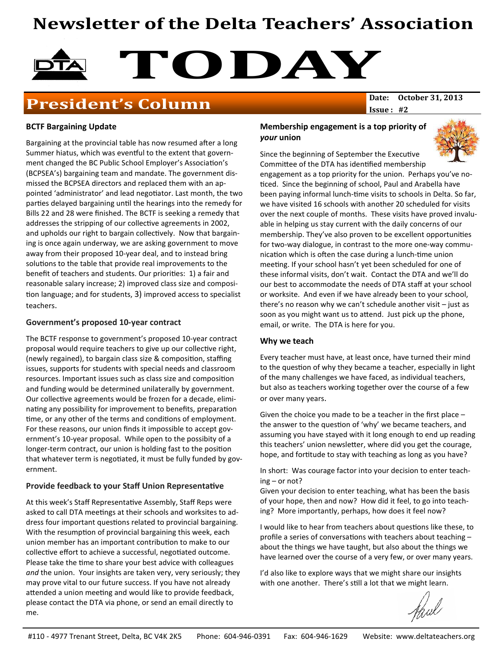# Newsletter of the Delta Teachers' Association



# **President's Column** Date: 0ctober 31, 2013

 $Issue: #2$ 

### BCTF Bargaining Update

Bargaining at the provincial table has now resumed after a long Summer hiatus, which was eventful to the extent that government changed the BC Public School Employer's Association's (BCPSEA's) bargaining team and mandate. The government dismissed the BCPSEA directors and replaced them with an appointed 'administrator' and lead negotiator. Last month, the two parties delayed bargaining until the hearings into the remedy for Bills 22 and 28 were finished. The BCTF is seeking a remedy that addresses the stripping of our collective agreements in 2002, and upholds our right to bargain collectively. Now that bargaining is once again underway, we are asking government to move away from their proposed 10-year deal, and to instead bring solutions to the table that provide real improvements to the benefit of teachers and students. Our priorities: 1) a fair and reasonable salary increase; 2) improved class size and composition language; and for students, 3) improved access to specialist teachers.

#### Government's proposed 10-year contract

The BCTF response to government's proposed 10-year contract proposal would require teachers to give up our collective right, (newly regained), to bargain class size & composition, staffing issues, supports for students with special needs and classroom resources. Important issues such as class size and composition and funding would be determined unilaterally by government. Our collective agreements would be frozen for a decade, eliminating any possibility for improvement to benefits, preparation time, or any other of the terms and conditions of employment. For these reasons, our union finds it impossible to accept government's 10-year proposal. While open to the possibity of a longer-term contract, our union is holding fast to the position that whatever term is negotiated, it must be fully funded by government.

### Provide feedback to your Staff Union Representative

At this week's Staff Representative Assembly, Staff Reps were asked to call DTA meetings at their schools and worksites to address four important questions related to provincial bargaining. With the resumption of provincial bargaining this week, each union member has an important contribution to make to our collective effort to achieve a successful, negotiated outcome. Please take the time to share your best advice with colleagues and the union. Your insights are taken very, very seriously; they may prove vital to our future success. If you have not already attended a union meeting and would like to provide feedback, please contact the DTA via phone, or send an email directly to me.

### Membership engagement is a top priority of your union



Since the beginning of September the Executive Committee of the DTA has identified membership engagement as a top priority for the union. Perhaps you've no-

ticed. Since the beginning of school, Paul and Arabella have been paying informal lunch-time visits to schools in Delta. So far, we have visited 16 schools with another 20 scheduled for visits over the next couple of months. These visits have proved invaluable in helping us stay current with the daily concerns of our membership. They've also proven to be excellent opportunities for two-way dialogue, in contrast to the more one-way communication which is often the case during a lunch-time union meeting. If your school hasn't yet been scheduled for one of these informal visits, don't wait. Contact the DTA and we'll do our best to accommodate the needs of DTA staff at your school or worksite. And even if we have already been to your school, there's no reason why we can't schedule another visit – just as soon as you might want us to attend. Just pick up the phone, email, or write. The DTA is here for you.

### Why we teach

Every teacher must have, at least once, have turned their mind to the question of why they became a teacher, especially in light of the many challenges we have faced, as individual teachers, but also as teachers working together over the course of a few or over many years.

Given the choice you made to be a teacher in the first place – the answer to the question of 'why' we became teachers, and assuming you have stayed with it long enough to end up reading this teachers' union newsletter, where did you get the courage, hope, and fortitude to stay with teaching as long as you have?

In short: Was courage factor into your decision to enter teaching – or not?

Given your decision to enter teaching, what has been the basis of your hope, then and now? How did it feel, to go into teaching? More importantly, perhaps, how does it feel now?

I would like to hear from teachers about questions like these, to profile a series of conversations with teachers about teaching  $$ about the things we have taught, but also about the things we have learned over the course of a very few, or over many years.

I'd also like to explore ways that we might share our insights with one another. There's still a lot that we might learn.